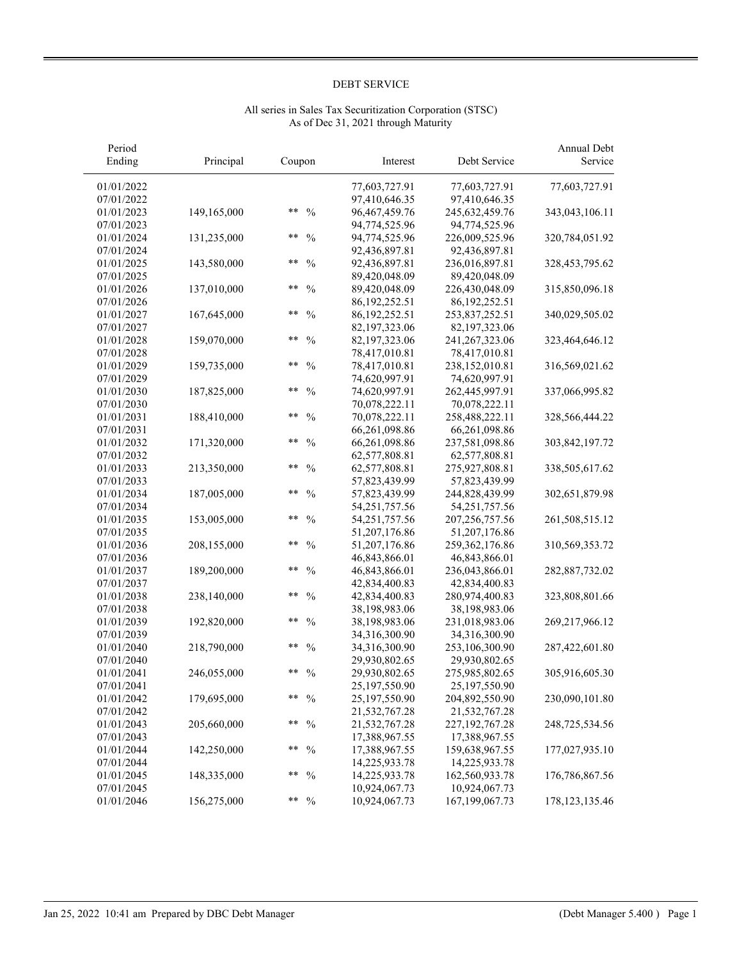| Period<br>Ending | Principal   | Coupon                 | Interest         | Debt Service      | Annual Debt<br>Service |
|------------------|-------------|------------------------|------------------|-------------------|------------------------|
| 01/01/2022       |             |                        | 77,603,727.91    | 77,603,727.91     | 77,603,727.91          |
| 07/01/2022       |             |                        | 97,410,646.35    | 97,410,646.35     |                        |
| 01/01/2023       | 149,165,000 | $***$<br>$\frac{0}{0}$ | 96,467,459.76    | 245, 632, 459. 76 | 343,043,106.11         |
| 07/01/2023       |             |                        | 94,774,525.96    | 94,774,525.96     |                        |
| 01/01/2024       | 131,235,000 | **<br>$\frac{0}{0}$    | 94,774,525.96    | 226,009,525.96    | 320,784,051.92         |
| 07/01/2024       |             |                        | 92,436,897.81    | 92,436,897.81     |                        |
| 01/01/2025       | 143,580,000 | **<br>$\frac{0}{0}$    | 92,436,897.81    | 236,016,897.81    | 328, 453, 795. 62      |
| 07/01/2025       |             |                        | 89,420,048.09    | 89,420,048.09     |                        |
| 01/01/2026       | 137,010,000 | **<br>$\frac{0}{0}$    | 89,420,048.09    | 226,430,048.09    | 315,850,096.18         |
| 07/01/2026       |             |                        | 86, 192, 252. 51 | 86, 192, 252. 51  |                        |
| 01/01/2027       | 167,645,000 | $***$<br>$\frac{0}{0}$ | 86, 192, 252. 51 | 253,837,252.51    | 340,029,505.02         |
| 07/01/2027       |             |                        | 82,197,323.06    | 82,197,323.06     |                        |
| 01/01/2028       | 159,070,000 | **<br>$\frac{0}{0}$    | 82,197,323.06    | 241,267,323.06    | 323,464,646.12         |
| 07/01/2028       |             |                        | 78,417,010.81    | 78,417,010.81     |                        |
| 01/01/2029       | 159,735,000 | **<br>$\frac{0}{0}$    | 78,417,010.81    | 238,152,010.81    | 316,569,021.62         |
| 07/01/2029       |             |                        | 74,620,997.91    | 74,620,997.91     |                        |
| 01/01/2030       | 187,825,000 | $***$<br>$\frac{0}{0}$ | 74,620,997.91    | 262,445,997.91    | 337,066,995.82         |
| 07/01/2030       |             |                        | 70,078,222.11    | 70,078,222.11     |                        |
| 01/01/2031       | 188,410,000 | $***$<br>$\frac{0}{0}$ | 70,078,222.11    | 258,488,222.11    | 328,566,444.22         |
| 07/01/2031       |             |                        | 66,261,098.86    | 66,261,098.86     |                        |
| 01/01/2032       | 171,320,000 | **<br>$\frac{0}{0}$    | 66,261,098.86    | 237,581,098.86    | 303, 842, 197. 72      |
| 07/01/2032       |             |                        | 62,577,808.81    | 62,577,808.81     |                        |
| 01/01/2033       | 213,350,000 | $***$<br>$\frac{0}{0}$ | 62,577,808.81    | 275,927,808.81    | 338,505,617.62         |
| 07/01/2033       |             |                        | 57,823,439.99    | 57,823,439.99     |                        |
| 01/01/2034       | 187,005,000 | $***$<br>$\frac{0}{0}$ | 57,823,439.99    | 244,828,439.99    | 302,651,879.98         |
| 07/01/2034       |             |                        | 54, 251, 757. 56 | 54,251,757.56     |                        |
| 01/01/2035       | 153,005,000 | $***$<br>$\frac{0}{0}$ | 54, 251, 757. 56 | 207,256,757.56    | 261,508,515.12         |
| 07/01/2035       |             |                        | 51,207,176.86    | 51,207,176.86     |                        |
| 01/01/2036       | 208,155,000 | **<br>$\frac{0}{0}$    | 51,207,176.86    | 259, 362, 176.86  | 310,569,353.72         |
| 07/01/2036       |             |                        | 46,843,866.01    | 46,843,866.01     |                        |
| 01/01/2037       | 189,200,000 | **<br>$\frac{0}{0}$    | 46,843,866.01    | 236,043,866.01    | 282,887,732.02         |
| 07/01/2037       |             |                        | 42,834,400.83    | 42,834,400.83     |                        |
| 01/01/2038       | 238,140,000 | **<br>$\frac{0}{0}$    | 42,834,400.83    | 280,974,400.83    | 323,808,801.66         |
| 07/01/2038       |             |                        | 38,198,983.06    | 38,198,983.06     |                        |
| 01/01/2039       | 192,820,000 | $***$<br>$\frac{0}{0}$ | 38,198,983.06    | 231,018,983.06    | 269,217,966.12         |
| 07/01/2039       |             |                        | 34,316,300.90    | 34,316,300.90     |                        |
| 01/01/2040       | 218,790,000 | **<br>$\frac{0}{0}$    | 34,316,300.90    | 253,106,300.90    | 287,422,601.80         |
| 07/01/2040       |             |                        | 29,930,802.65    | 29,930,802.65     |                        |
| 01/01/2041       | 246,055,000 | **<br>$\frac{0}{0}$    | 29,930,802.65    | 275,985,802.65    | 305,916,605.30         |
| 07/01/2041       |             |                        | 25,197,550.90    | 25, 197, 550. 90  |                        |
| 01/01/2042       | 179,695,000 | **<br>$\frac{0}{0}$    | 25,197,550.90    | 204,892,550.90    | 230,090,101.80         |
| 07/01/2042       |             |                        | 21,532,767.28    | 21,532,767.28     |                        |
| 01/01/2043       | 205,660,000 | **<br>$\frac{0}{0}$    | 21,532,767.28    | 227, 192, 767. 28 | 248,725,534.56         |
| 07/01/2043       |             |                        | 17,388,967.55    | 17,388,967.55     |                        |
| 01/01/2044       | 142,250,000 | **<br>$\frac{0}{0}$    | 17,388,967.55    | 159,638,967.55    | 177,027,935.10         |
| 07/01/2044       |             |                        | 14,225,933.78    | 14,225,933.78     |                        |
| 01/01/2045       | 148,335,000 | **<br>$\frac{0}{0}$    | 14,225,933.78    | 162,560,933.78    | 176,786,867.56         |
| 07/01/2045       |             |                        | 10,924,067.73    | 10,924,067.73     |                        |
| 01/01/2046       | 156,275,000 | **<br>$\frac{0}{0}$    | 10,924,067.73    | 167, 199, 067. 73 | 178, 123, 135. 46      |

# All series in Sales Tax Securitization Corporation (STSC) As of Dec 31, 2021 through Maturity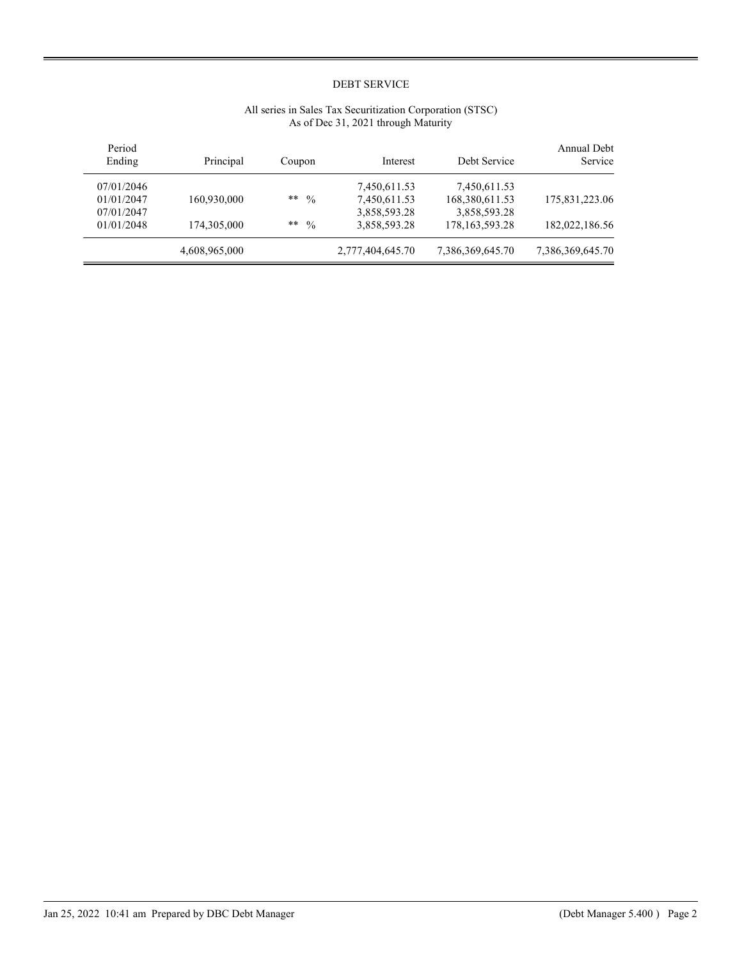| Annual Debt<br>Service | Debt Service      | Interest         | Coupon              | Principal     | Period<br>Ending |
|------------------------|-------------------|------------------|---------------------|---------------|------------------|
|                        | 7,450,611.53      | 7,450,611.53     |                     |               | 07/01/2046       |
| 175,831,223.06         | 168,380,611.53    | 7,450,611.53     | **<br>$\frac{0}{0}$ | 160,930,000   | 01/01/2047       |
|                        | 3,858,593.28      | 3,858,593.28     |                     |               | 07/01/2047       |
| 182,022,186.56         | 178, 163, 593. 28 | 3,858,593.28     | **<br>$\frac{0}{0}$ | 174,305,000   | 01/01/2048       |
| 7,386,369,645.70       | 7,386,369,645.70  | 2,777,404,645.70 |                     | 4,608,965,000 |                  |

# All series in Sales Tax Securitization Corporation (STSC) As of Dec 31, 2021 through Maturity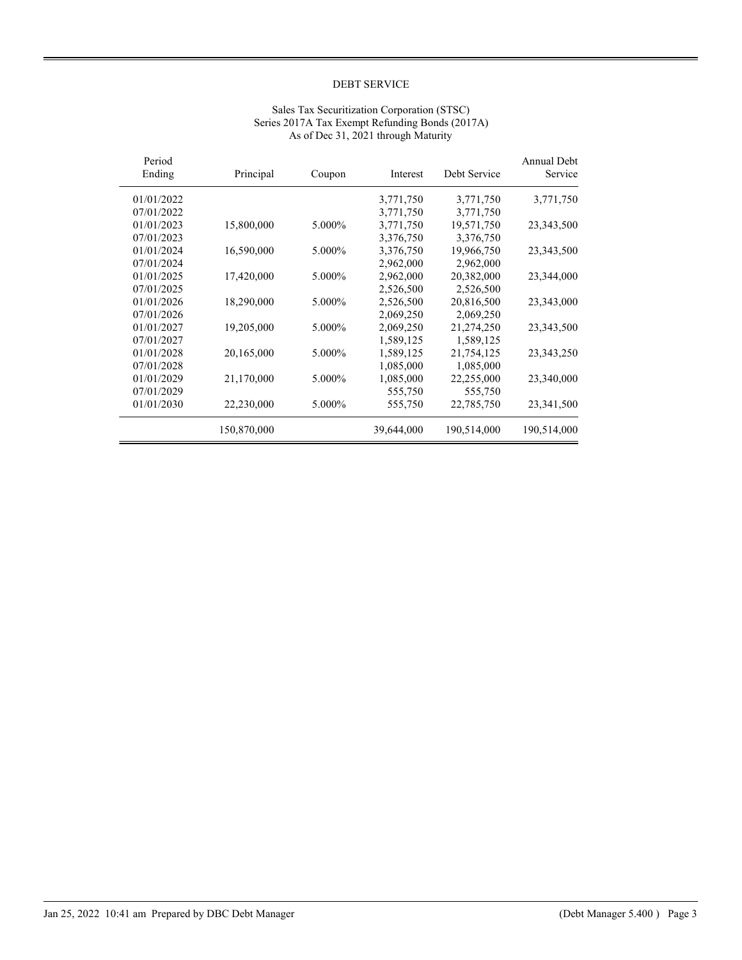| <b>Annual Debt</b><br>Service | Debt Service | Interest   | Coupon | Principal   | Period<br>Ending |
|-------------------------------|--------------|------------|--------|-------------|------------------|
| 3,771,750                     | 3,771,750    | 3,771,750  |        |             | 01/01/2022       |
|                               | 3,771,750    | 3,771,750  |        |             | 07/01/2022       |
| 23,343,500                    | 19,571,750   | 3,771,750  | 5.000% | 15,800,000  | 01/01/2023       |
|                               | 3,376,750    | 3,376,750  |        |             | 07/01/2023       |
| 23,343,500                    | 19,966,750   | 3,376,750  | 5.000% | 16,590,000  | 01/01/2024       |
|                               | 2,962,000    | 2,962,000  |        |             | 07/01/2024       |
| 23,344,000                    | 20,382,000   | 2,962,000  | 5.000% | 17,420,000  | 01/01/2025       |
|                               | 2,526,500    | 2,526,500  |        |             | 07/01/2025       |
| 23,343,000                    | 20,816,500   | 2,526,500  | 5.000% | 18,290,000  | 01/01/2026       |
|                               | 2,069,250    | 2,069,250  |        |             | 07/01/2026       |
| 23,343,500                    | 21,274,250   | 2,069,250  | 5.000% | 19,205,000  | 01/01/2027       |
|                               | 1,589,125    | 1,589,125  |        |             | 07/01/2027       |
| 23, 343, 250                  | 21,754,125   | 1,589,125  | 5.000% | 20,165,000  | 01/01/2028       |
|                               | 1,085,000    | 1,085,000  |        |             | 07/01/2028       |
| 23,340,000                    | 22,255,000   | 1,085,000  | 5.000% | 21,170,000  | 01/01/2029       |
|                               | 555,750      | 555,750    |        |             | 07/01/2029       |
| 23,341,500                    | 22,785,750   | 555,750    | 5.000% | 22,230,000  | 01/01/2030       |
| 190,514,000                   | 190,514,000  | 39,644,000 |        | 150,870,000 |                  |

# Sales Tax Securitization Corporation (STSC) Series 2017A Tax Exempt Refunding Bonds (2017A) As of Dec 31, 2021 through Maturity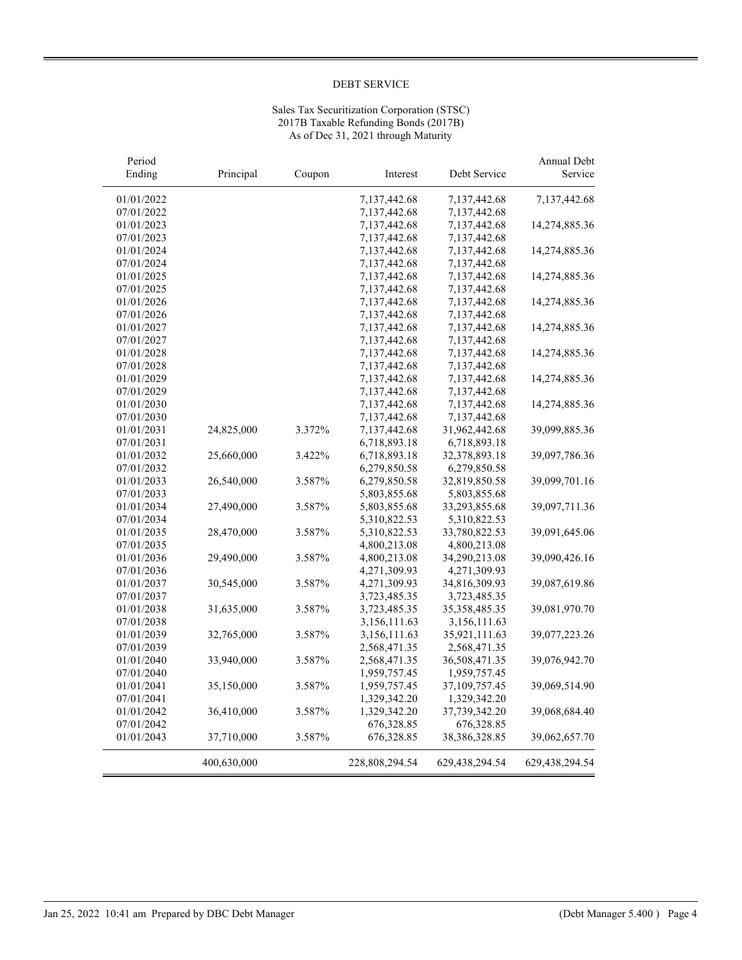## Sales Tax Securitization Corporation (STSC) 2017B Taxable Refunding Bonds (2017B) As of Dec 31, 2021 through Maturity

| Period     |             |        |                |                  | Annual Debt    |
|------------|-------------|--------|----------------|------------------|----------------|
| Ending     | Principal   | Coupon | Interest       | Debt Service     | Service        |
| 01/01/2022 |             |        | 7,137,442.68   | 7,137,442.68     | 7,137,442.68   |
| 07/01/2022 |             |        | 7,137,442.68   | 7,137,442.68     |                |
| 01/01/2023 |             |        | 7,137,442.68   | 7,137,442.68     | 14,274,885.36  |
| 07/01/2023 |             |        | 7,137,442.68   | 7,137,442.68     |                |
| 01/01/2024 |             |        | 7,137,442.68   | 7,137,442.68     | 14,274,885.36  |
| 07/01/2024 |             |        | 7,137,442.68   | 7,137,442.68     |                |
| 01/01/2025 |             |        | 7,137,442.68   | 7,137,442.68     | 14,274,885.36  |
| 07/01/2025 |             |        | 7,137,442.68   | 7,137,442.68     |                |
| 01/01/2026 |             |        | 7,137,442.68   | 7,137,442.68     | 14,274,885.36  |
| 07/01/2026 |             |        | 7,137,442.68   | 7,137,442.68     |                |
| 01/01/2027 |             |        | 7,137,442.68   | 7,137,442.68     | 14,274,885.36  |
| 07/01/2027 |             |        | 7,137,442.68   | 7,137,442.68     |                |
| 01/01/2028 |             |        | 7,137,442.68   | 7,137,442.68     | 14,274,885.36  |
| 07/01/2028 |             |        | 7,137,442.68   | 7,137,442.68     |                |
| 01/01/2029 |             |        | 7,137,442.68   | 7,137,442.68     | 14,274,885.36  |
| 07/01/2029 |             |        | 7,137,442.68   | 7,137,442.68     |                |
| 01/01/2030 |             |        | 7,137,442.68   | 7,137,442.68     | 14,274,885.36  |
| 07/01/2030 |             |        | 7,137,442.68   | 7,137,442.68     |                |
| 01/01/2031 | 24,825,000  | 3.372% | 7,137,442.68   | 31,962,442.68    | 39,099,885.36  |
| 07/01/2031 |             |        | 6,718,893.18   | 6,718,893.18     |                |
| 01/01/2032 | 25,660,000  | 3.422% | 6,718,893.18   | 32,378,893.18    | 39,097,786.36  |
| 07/01/2032 |             |        | 6,279,850.58   | 6,279,850.58     |                |
| 01/01/2033 | 26,540,000  | 3.587% | 6,279,850.58   | 32,819,850.58    | 39,099,701.16  |
| 07/01/2033 |             |        | 5,803,855.68   | 5,803,855.68     |                |
| 01/01/2034 | 27,490,000  | 3.587% | 5,803,855.68   | 33,293,855.68    | 39,097,711.36  |
| 07/01/2034 |             |        | 5,310,822.53   | 5,310,822.53     |                |
| 01/01/2035 | 28,470,000  | 3.587% | 5,310,822.53   | 33,780,822.53    | 39,091,645.06  |
| 07/01/2035 |             |        | 4,800,213.08   | 4,800,213.08     |                |
| 01/01/2036 | 29,490,000  | 3.587% | 4,800,213.08   | 34,290,213.08    | 39,090,426.16  |
| 07/01/2036 |             |        | 4,271,309.93   | 4,271,309.93     |                |
| 01/01/2037 | 30,545,000  | 3.587% | 4,271,309.93   | 34,816,309.93    | 39,087,619.86  |
| 07/01/2037 |             |        | 3,723,485.35   | 3,723,485.35     |                |
| 01/01/2038 | 31,635,000  | 3.587% | 3,723,485.35   | 35, 358, 485. 35 | 39,081,970.70  |
| 07/01/2038 |             |        | 3,156,111.63   | 3,156,111.63     |                |
| 01/01/2039 | 32,765,000  | 3.587% | 3,156,111.63   | 35,921,111.63    | 39,077,223.26  |
| 07/01/2039 |             |        | 2,568,471.35   | 2,568,471.35     |                |
| 01/01/2040 | 33,940,000  | 3.587% | 2,568,471.35   | 36,508,471.35    | 39,076,942.70  |
| 07/01/2040 |             |        | 1,959,757.45   | 1,959,757.45     |                |
| 01/01/2041 | 35,150,000  | 3.587% | 1,959,757.45   | 37,109,757.45    | 39,069,514.90  |
| 07/01/2041 |             |        | 1,329,342.20   | 1,329,342.20     |                |
| 01/01/2042 | 36,410,000  | 3.587% | 1,329,342.20   | 37,739,342.20    | 39,068,684.40  |
| 07/01/2042 |             |        | 676,328.85     | 676,328.85       |                |
| 01/01/2043 | 37,710,000  | 3.587% | 676, 328.85    | 38,386,328.85    | 39,062,657.70  |
|            | 400,630,000 |        | 228,808,294.54 | 629,438,294.54   | 629,438,294.54 |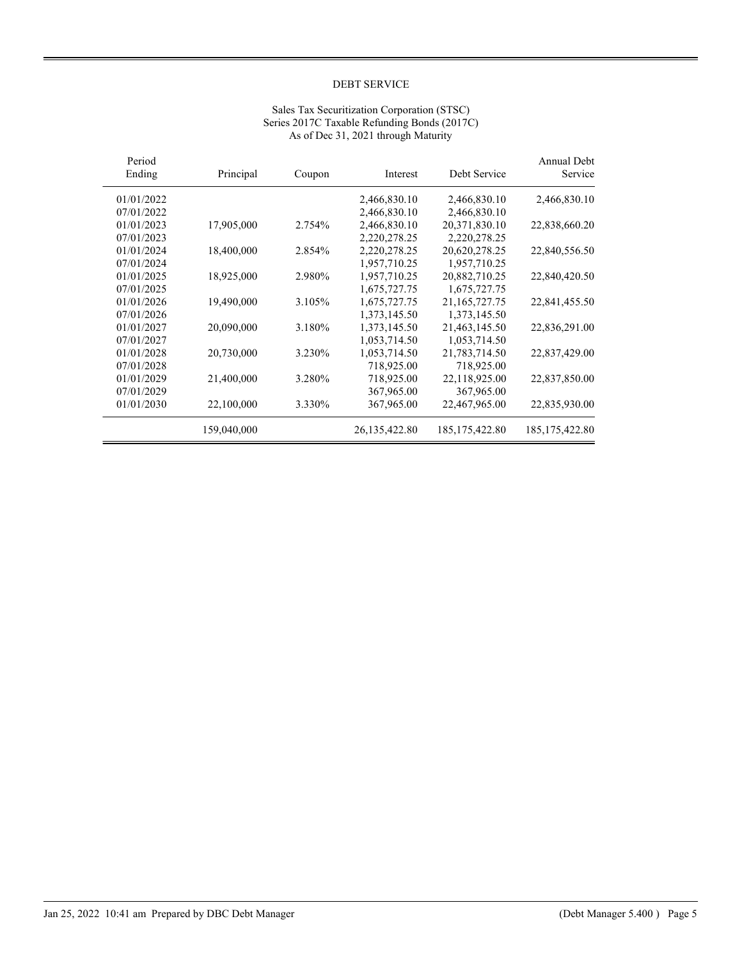|                               |                  | As of Dec 31, 2021 through Maturity |        |             |                  |
|-------------------------------|------------------|-------------------------------------|--------|-------------|------------------|
| <b>Annual Debt</b><br>Service | Debt Service     | Interest                            | Coupon | Principal   | Period<br>Ending |
| 2,466,830.10                  | 2,466,830.10     | 2,466,830.10                        |        |             | 01/01/2022       |
|                               | 2,466,830.10     | 2,466,830.10                        |        |             | 07/01/2022       |
| 22,838,660.20                 | 20,371,830.10    | 2,466,830.10                        | 2.754% | 17,905,000  | 01/01/2023       |
|                               | 2,220,278.25     | 2,220,278.25                        |        |             | 07/01/2023       |
| 22,840,556.50                 | 20,620,278.25    | 2,220,278.25                        | 2.854% | 18,400,000  | 01/01/2024       |
|                               | 1,957,710.25     | 1,957,710.25                        |        |             | 07/01/2024       |
| 22,840,420.50                 | 20,882,710.25    | 1,957,710.25                        | 2.980% | 18,925,000  | 01/01/2025       |
|                               | 1,675,727.75     | 1,675,727.75                        |        |             | 07/01/2025       |
| 22,841,455.50                 | 21,165,727.75    | 1,675,727.75                        | 3.105% | 19,490,000  | 01/01/2026       |
|                               | 1,373,145.50     | 1,373,145.50                        |        |             | 07/01/2026       |
| 22,836,291.00                 | 21,463,145.50    | 1,373,145.50                        | 3.180% | 20,090,000  | 01/01/2027       |
|                               | 1,053,714.50     | 1,053,714.50                        |        |             | 07/01/2027       |
| 22,837,429.00                 | 21,783,714.50    | 1,053,714.50                        | 3.230% | 20,730,000  | 01/01/2028       |
|                               | 718,925.00       | 718,925.00                          |        |             | 07/01/2028       |
| 22,837,850.00                 | 22,118,925.00    | 718,925.00                          | 3.280% | 21,400,000  | 01/01/2029       |
|                               | 367,965.00       | 367,965.00                          |        |             | 07/01/2029       |
| 22,835,930.00                 | 22,467,965.00    | 367,965.00                          | 3.330% | 22,100,000  | 01/01/2030       |
| 185, 175, 422.80              | 185, 175, 422.80 | 26, 135, 422.80                     |        | 159,040,000 |                  |

## Sales Tax Securitization Corporation (STSC) Series 2017C Taxable Refunding Bonds (2017C) As of Dec 31, 2021 through Maturity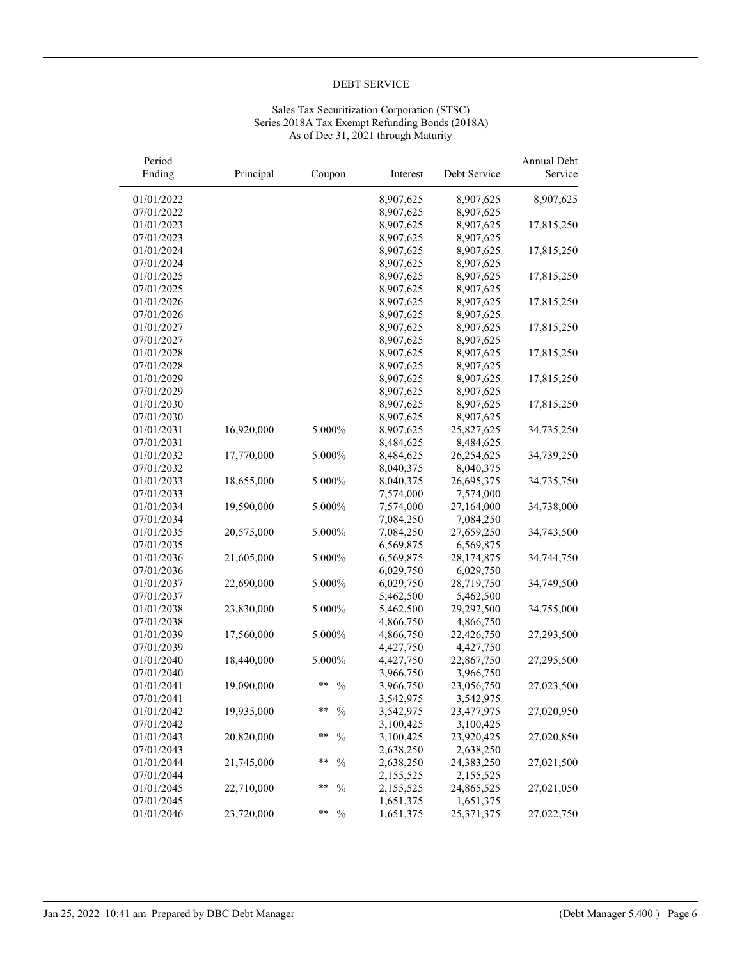## Sales Tax Securitization Corporation (STSC) Series 2018A Tax Exempt Refunding Bonds (2018A) As of Dec 31, 2021 through Maturity

| Period<br>Ending | Principal  | Coupon              | Interest  | Debt Service | Annual Debt<br>Service |
|------------------|------------|---------------------|-----------|--------------|------------------------|
| 01/01/2022       |            |                     | 8,907,625 | 8,907,625    | 8,907,625              |
| 07/01/2022       |            |                     | 8,907,625 | 8,907,625    |                        |
| 01/01/2023       |            |                     | 8,907,625 | 8,907,625    | 17,815,250             |
| 07/01/2023       |            |                     | 8,907,625 | 8,907,625    |                        |
| 01/01/2024       |            |                     | 8,907,625 | 8,907,625    | 17,815,250             |
| 07/01/2024       |            |                     | 8,907,625 | 8,907,625    |                        |
| 01/01/2025       |            |                     | 8,907,625 | 8,907,625    | 17,815,250             |
| 07/01/2025       |            |                     | 8,907,625 | 8,907,625    |                        |
| 01/01/2026       |            |                     | 8,907,625 | 8,907,625    | 17,815,250             |
| 07/01/2026       |            |                     | 8,907,625 | 8,907,625    |                        |
| 01/01/2027       |            |                     | 8,907,625 | 8,907,625    | 17,815,250             |
| 07/01/2027       |            |                     | 8,907,625 | 8,907,625    |                        |
| 01/01/2028       |            |                     | 8,907,625 | 8,907,625    | 17,815,250             |
| 07/01/2028       |            |                     | 8,907,625 | 8,907,625    |                        |
| 01/01/2029       |            |                     | 8,907,625 | 8,907,625    | 17,815,250             |
| 07/01/2029       |            |                     | 8,907,625 | 8,907,625    |                        |
| 01/01/2030       |            |                     | 8,907,625 | 8,907,625    | 17,815,250             |
| 07/01/2030       |            |                     | 8,907,625 | 8,907,625    |                        |
| 01/01/2031       | 16,920,000 | 5.000%              | 8,907,625 | 25,827,625   | 34,735,250             |
| 07/01/2031       |            |                     | 8,484,625 | 8,484,625    |                        |
| 01/01/2032       | 17,770,000 | 5.000%              | 8,484,625 | 26,254,625   | 34,739,250             |
| 07/01/2032       |            |                     | 8,040,375 | 8,040,375    |                        |
| 01/01/2033       | 18,655,000 | 5.000%              | 8,040,375 | 26,695,375   | 34,735,750             |
| 07/01/2033       |            |                     | 7,574,000 | 7,574,000    |                        |
| 01/01/2034       | 19,590,000 | 5.000%              | 7,574,000 | 27,164,000   | 34,738,000             |
| 07/01/2034       |            |                     | 7,084,250 | 7,084,250    |                        |
| 01/01/2035       | 20,575,000 | 5.000%              | 7,084,250 | 27,659,250   | 34,743,500             |
| 07/01/2035       |            |                     | 6,569,875 | 6,569,875    |                        |
| 01/01/2036       | 21,605,000 | 5.000%              | 6,569,875 | 28,174,875   | 34,744,750             |
| 07/01/2036       |            |                     | 6,029,750 | 6,029,750    |                        |
| 01/01/2037       | 22,690,000 | 5.000%              | 6,029,750 | 28,719,750   | 34,749,500             |
| 07/01/2037       |            |                     | 5,462,500 | 5,462,500    |                        |
| 01/01/2038       | 23,830,000 | 5.000%              | 5,462,500 | 29,292,500   | 34,755,000             |
| 07/01/2038       |            |                     | 4,866,750 | 4,866,750    |                        |
| 01/01/2039       | 17,560,000 | 5.000%              | 4,866,750 | 22,426,750   | 27,293,500             |
| 07/01/2039       |            |                     | 4,427,750 | 4,427,750    |                        |
| 01/01/2040       | 18,440,000 | 5.000%              | 4,427,750 | 22,867,750   | 27,295,500             |
| 07/01/2040       |            |                     | 3,966,750 | 3,966,750    |                        |
| 01/01/2041       | 19,090,000 | **<br>$\frac{0}{0}$ | 3,966,750 | 23,056,750   | 27,023,500             |
| 07/01/2041       |            |                     | 3,542,975 | 3,542,975    |                        |
| 01/01/2042       | 19,935,000 | **<br>$\frac{0}{0}$ | 3,542,975 | 23,477,975   | 27,020,950             |
| 07/01/2042       |            |                     | 3,100,425 | 3,100,425    |                        |
| 01/01/2043       | 20,820,000 | **<br>$\frac{0}{0}$ | 3,100,425 | 23,920,425   | 27,020,850             |
| 07/01/2043       |            |                     | 2,638,250 | 2,638,250    |                        |
| 01/01/2044       | 21,745,000 | **<br>$\frac{0}{0}$ | 2,638,250 | 24,383,250   | 27,021,500             |
| 07/01/2044       |            |                     | 2,155,525 | 2,155,525    |                        |
| 01/01/2045       | 22,710,000 | **<br>$\frac{0}{0}$ | 2,155,525 | 24,865,525   | 27,021,050             |
| 07/01/2045       |            |                     | 1,651,375 | 1,651,375    |                        |
| 01/01/2046       | 23,720,000 | **<br>$\frac{0}{0}$ | 1,651,375 | 25,371,375   | 27,022,750             |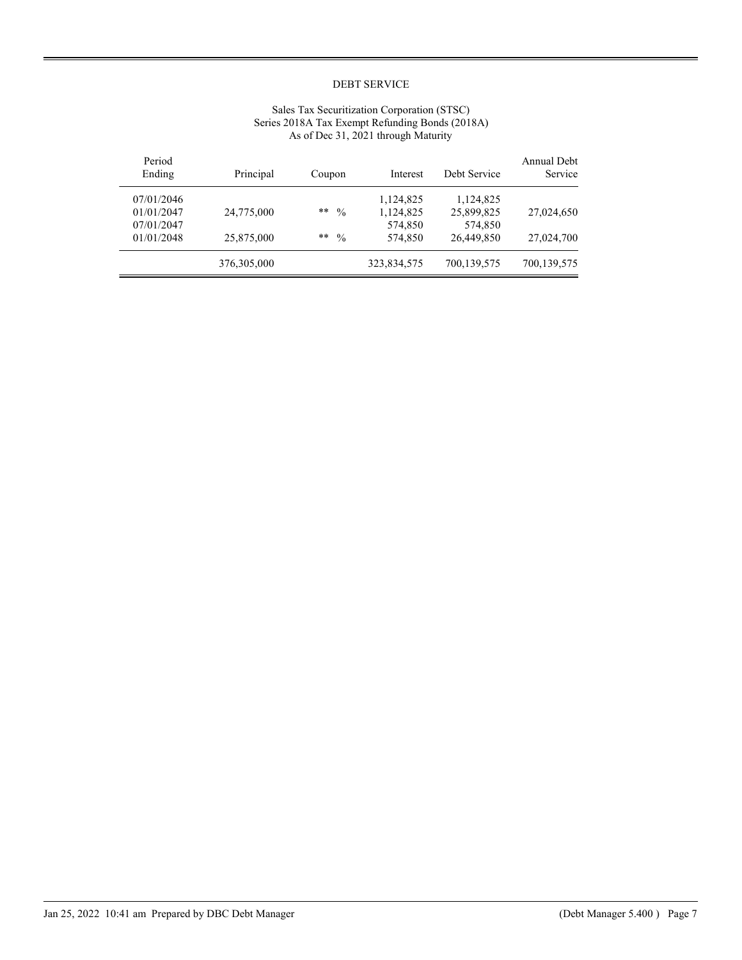| Period<br>Ending | Principal   | Coupon                | Interest    | Debt Service | Annual Debt<br>Service |
|------------------|-------------|-----------------------|-------------|--------------|------------------------|
| 07/01/2046       |             |                       | 1,124,825   | 1,124,825    |                        |
| 01/01/2047       | 24,775,000  | $***$<br>$\%$         | 1,124,825   | 25,899,825   | 27,024,650             |
| 07/01/2047       |             |                       | 574,850     | 574,850      |                        |
| 01/01/2048       | 25,875,000  | $**$<br>$\frac{0}{0}$ | 574,850     | 26,449,850   | 27,024,700             |
|                  | 376,305,000 |                       | 323,834,575 | 700,139,575  | 700,139,575            |

## Sales Tax Securitization Corporation (STSC) Series 2018A Tax Exempt Refunding Bonds (2018A) As of Dec 31, 2021 through Maturity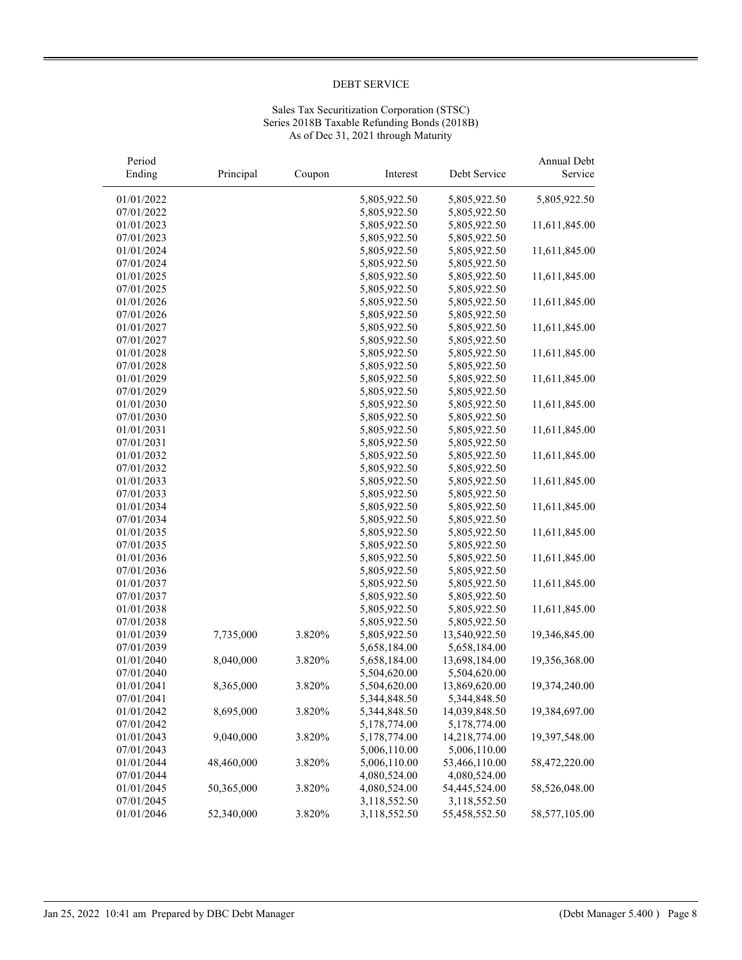## Sales Tax Securitization Corporation (STSC) Series 2018B Taxable Refunding Bonds (2018B) As of Dec 31, 2021 through Maturity

| Period<br>Ending | Principal  | Coupon | Interest     | Debt Service  | Annual Debt<br>Service |
|------------------|------------|--------|--------------|---------------|------------------------|
| 01/01/2022       |            |        | 5,805,922.50 | 5,805,922.50  | 5,805,922.50           |
| 07/01/2022       |            |        | 5,805,922.50 | 5,805,922.50  |                        |
| 01/01/2023       |            |        | 5,805,922.50 | 5,805,922.50  | 11,611,845.00          |
| 07/01/2023       |            |        | 5,805,922.50 | 5,805,922.50  |                        |
| 01/01/2024       |            |        | 5,805,922.50 | 5,805,922.50  | 11,611,845.00          |
| 07/01/2024       |            |        | 5,805,922.50 | 5,805,922.50  |                        |
| 01/01/2025       |            |        | 5,805,922.50 | 5,805,922.50  | 11,611,845.00          |
| 07/01/2025       |            |        | 5,805,922.50 | 5,805,922.50  |                        |
| 01/01/2026       |            |        | 5,805,922.50 | 5,805,922.50  | 11,611,845.00          |
| 07/01/2026       |            |        | 5,805,922.50 | 5,805,922.50  |                        |
| 01/01/2027       |            |        | 5,805,922.50 | 5,805,922.50  | 11,611,845.00          |
| 07/01/2027       |            |        | 5,805,922.50 | 5,805,922.50  |                        |
| 01/01/2028       |            |        | 5,805,922.50 | 5,805,922.50  | 11,611,845.00          |
| 07/01/2028       |            |        | 5,805,922.50 | 5,805,922.50  |                        |
| 01/01/2029       |            |        | 5,805,922.50 | 5,805,922.50  | 11,611,845.00          |
| 07/01/2029       |            |        | 5,805,922.50 | 5,805,922.50  |                        |
| 01/01/2030       |            |        | 5,805,922.50 | 5,805,922.50  | 11,611,845.00          |
| 07/01/2030       |            |        | 5,805,922.50 | 5,805,922.50  |                        |
| 01/01/2031       |            |        | 5,805,922.50 | 5,805,922.50  | 11,611,845.00          |
| 07/01/2031       |            |        | 5,805,922.50 | 5,805,922.50  |                        |
| 01/01/2032       |            |        | 5,805,922.50 | 5,805,922.50  | 11,611,845.00          |
| 07/01/2032       |            |        | 5,805,922.50 | 5,805,922.50  |                        |
| 01/01/2033       |            |        | 5,805,922.50 | 5,805,922.50  | 11,611,845.00          |
| 07/01/2033       |            |        | 5,805,922.50 | 5,805,922.50  |                        |
| 01/01/2034       |            |        | 5,805,922.50 | 5,805,922.50  | 11,611,845.00          |
| 07/01/2034       |            |        | 5,805,922.50 | 5,805,922.50  |                        |
| 01/01/2035       |            |        | 5,805,922.50 | 5,805,922.50  | 11,611,845.00          |
| 07/01/2035       |            |        | 5,805,922.50 | 5,805,922.50  |                        |
| 01/01/2036       |            |        | 5,805,922.50 | 5,805,922.50  | 11,611,845.00          |
| 07/01/2036       |            |        | 5,805,922.50 | 5,805,922.50  |                        |
| 01/01/2037       |            |        | 5,805,922.50 | 5,805,922.50  | 11,611,845.00          |
| 07/01/2037       |            |        | 5,805,922.50 | 5,805,922.50  |                        |
| 01/01/2038       |            |        | 5,805,922.50 | 5,805,922.50  | 11,611,845.00          |
| 07/01/2038       |            |        | 5,805,922.50 | 5,805,922.50  |                        |
| 01/01/2039       | 7,735,000  | 3.820% | 5,805,922.50 | 13,540,922.50 | 19,346,845.00          |
| 07/01/2039       |            |        | 5,658,184.00 | 5,658,184.00  |                        |
| 01/01/2040       | 8,040,000  | 3.820% | 5,658,184.00 | 13,698,184.00 | 19,356,368.00          |
| 07/01/2040       |            |        | 5,504,620.00 | 5,504,620.00  |                        |
| 01/01/2041       | 8,365,000  | 3.820% | 5,504,620.00 | 13,869,620.00 | 19,374,240.00          |
| 07/01/2041       |            |        | 5,344,848.50 | 5,344,848.50  |                        |
| 01/01/2042       | 8,695,000  | 3.820% | 5,344,848.50 | 14,039,848.50 | 19,384,697.00          |
| 07/01/2042       |            |        | 5,178,774.00 | 5,178,774.00  |                        |
| 01/01/2043       | 9,040,000  | 3.820% | 5,178,774.00 | 14,218,774.00 | 19,397,548.00          |
| 07/01/2043       |            |        | 5,006,110.00 | 5,006,110.00  |                        |
| 01/01/2044       | 48,460,000 | 3.820% | 5,006,110.00 | 53,466,110.00 | 58,472,220.00          |
| 07/01/2044       |            |        | 4,080,524.00 | 4,080,524.00  |                        |
| 01/01/2045       | 50,365,000 | 3.820% | 4,080,524.00 | 54,445,524.00 | 58,526,048.00          |
| 07/01/2045       |            |        | 3,118,552.50 | 3,118,552.50  |                        |
| 01/01/2046       | 52,340,000 | 3.820% | 3,118,552.50 | 55,458,552.50 | 58,577,105.00          |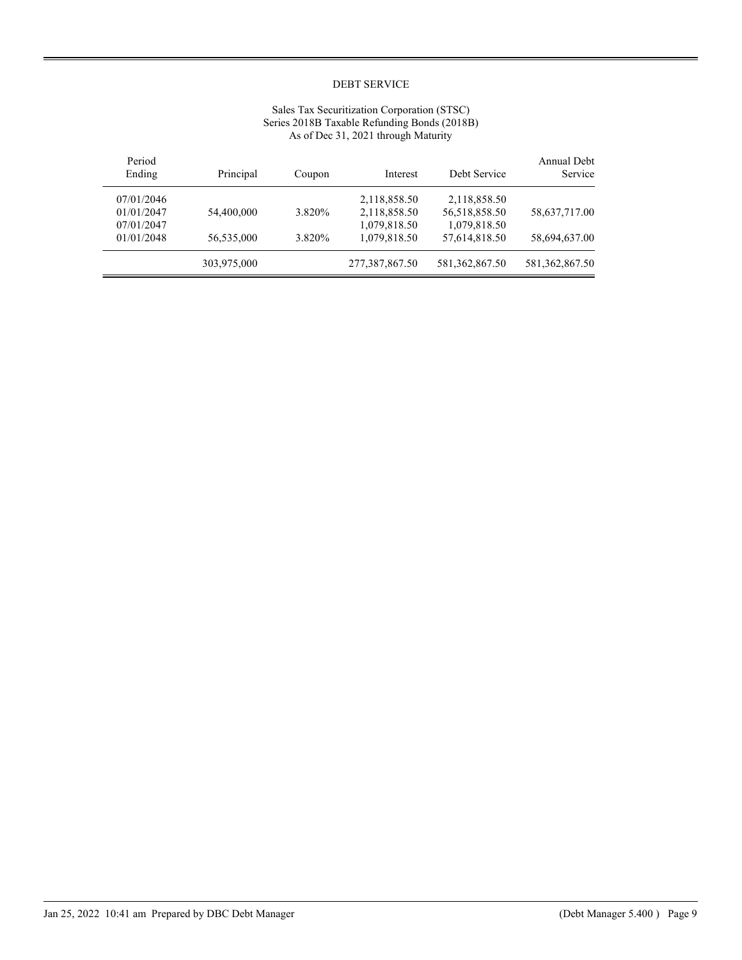## Sales Tax Securitization Corporation (STSC) Series 2018B Taxable Refunding Bonds (2018B) As of Dec 31, 2021 through Maturity

| Annual Debt<br>Service | Debt Service      | Interest       | Coupon | Principal   | Period<br>Ending |
|------------------------|-------------------|----------------|--------|-------------|------------------|
|                        | 2,118,858.50      | 2,118,858.50   |        |             | 07/01/2046       |
| 58,637,717.00          | 56,518,858.50     | 2,118,858.50   | 3.820% | 54,400,000  | 01/01/2047       |
|                        | 1,079,818.50      | 1,079,818.50   |        |             | 07/01/2047       |
| 58,694,637.00          | 57,614,818.50     | 1,079,818.50   | 3.820% | 56,535,000  | 01/01/2048       |
| 581, 362, 867. 50      | 581, 362, 867. 50 | 277,387,867.50 |        | 303,975,000 |                  |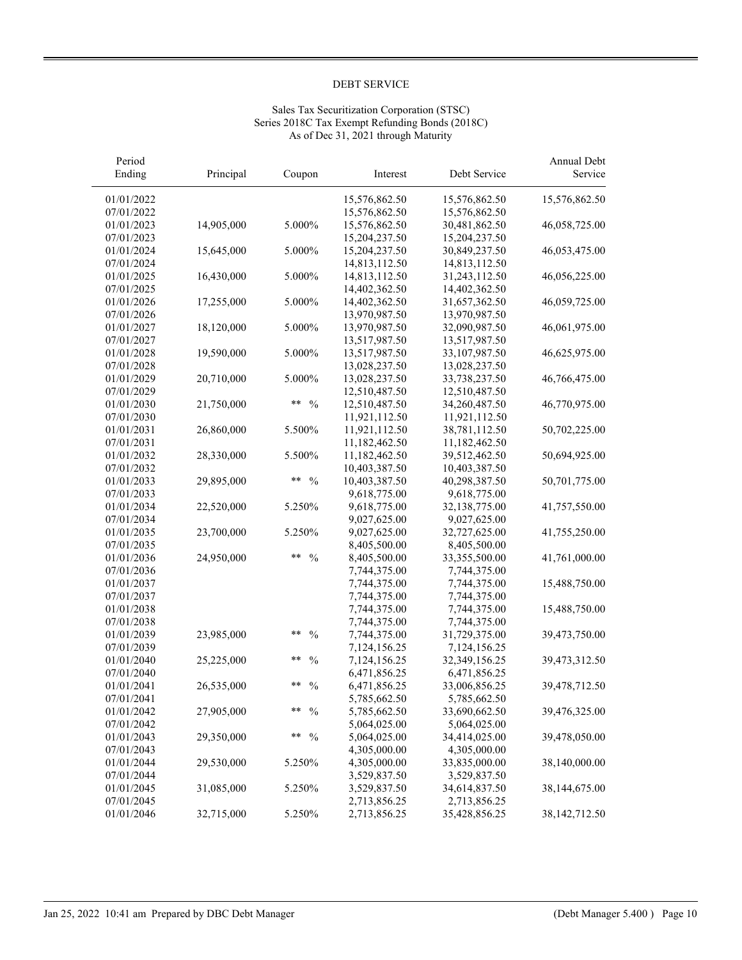# Sales Tax Securitization Corporation (STSC) Series 2018C Tax Exempt Refunding Bonds (2018C) As of Dec 31, 2021 through Maturity

| Period     |            |                       |               |               | Annual Debt     |
|------------|------------|-----------------------|---------------|---------------|-----------------|
| Ending     | Principal  | Coupon                | Interest      | Debt Service  | Service         |
| 01/01/2022 |            |                       | 15,576,862.50 | 15,576,862.50 | 15,576,862.50   |
| 07/01/2022 |            |                       | 15,576,862.50 | 15,576,862.50 |                 |
| 01/01/2023 | 14,905,000 | 5.000%                | 15,576,862.50 | 30,481,862.50 | 46,058,725.00   |
| 07/01/2023 |            |                       | 15,204,237.50 | 15,204,237.50 |                 |
| 01/01/2024 | 15,645,000 | 5.000%                | 15,204,237.50 | 30,849,237.50 | 46,053,475.00   |
| 07/01/2024 |            |                       | 14,813,112.50 | 14,813,112.50 |                 |
| 01/01/2025 | 16,430,000 | 5.000%                | 14,813,112.50 | 31,243,112.50 | 46,056,225.00   |
| 07/01/2025 |            |                       | 14,402,362.50 | 14,402,362.50 |                 |
| 01/01/2026 | 17,255,000 | 5.000%                | 14,402,362.50 | 31,657,362.50 | 46,059,725.00   |
| 07/01/2026 |            |                       | 13,970,987.50 | 13,970,987.50 |                 |
| 01/01/2027 | 18,120,000 | 5.000%                | 13,970,987.50 | 32,090,987.50 | 46,061,975.00   |
| 07/01/2027 |            |                       | 13,517,987.50 | 13,517,987.50 |                 |
| 01/01/2028 | 19,590,000 | 5.000%                | 13,517,987.50 | 33,107,987.50 | 46,625,975.00   |
| 07/01/2028 |            |                       | 13,028,237.50 | 13,028,237.50 |                 |
| 01/01/2029 | 20,710,000 | 5.000%                | 13,028,237.50 | 33,738,237.50 | 46,766,475.00   |
| 07/01/2029 |            |                       | 12,510,487.50 | 12,510,487.50 |                 |
| 01/01/2030 | 21,750,000 | $**$<br>$\frac{0}{0}$ | 12,510,487.50 | 34,260,487.50 | 46,770,975.00   |
| 07/01/2030 |            |                       | 11,921,112.50 | 11,921,112.50 |                 |
| 01/01/2031 | 26,860,000 | 5.500%                | 11,921,112.50 | 38,781,112.50 | 50,702,225.00   |
| 07/01/2031 |            |                       | 11,182,462.50 | 11,182,462.50 |                 |
| 01/01/2032 | 28,330,000 | 5.500%                | 11,182,462.50 | 39,512,462.50 | 50,694,925.00   |
| 07/01/2032 |            |                       | 10,403,387.50 | 10,403,387.50 |                 |
| 01/01/2033 | 29,895,000 | **<br>$\frac{0}{0}$   | 10,403,387.50 | 40,298,387.50 | 50,701,775.00   |
| 07/01/2033 |            |                       | 9,618,775.00  | 9,618,775.00  |                 |
| 01/01/2034 | 22,520,000 | 5.250%                | 9,618,775.00  | 32,138,775.00 | 41,757,550.00   |
| 07/01/2034 |            |                       | 9,027,625.00  | 9,027,625.00  |                 |
| 01/01/2035 | 23,700,000 | 5.250%                | 9,027,625.00  | 32,727,625.00 | 41,755,250.00   |
| 07/01/2035 |            |                       | 8,405,500.00  | 8,405,500.00  |                 |
| 01/01/2036 | 24,950,000 | **<br>$\%$            | 8,405,500.00  | 33,355,500.00 | 41,761,000.00   |
| 07/01/2036 |            |                       | 7,744,375.00  | 7,744,375.00  |                 |
| 01/01/2037 |            |                       | 7,744,375.00  | 7,744,375.00  | 15,488,750.00   |
| 07/01/2037 |            |                       | 7,744,375.00  | 7,744,375.00  |                 |
| 01/01/2038 |            |                       | 7,744,375.00  | 7,744,375.00  | 15,488,750.00   |
| 07/01/2038 |            |                       | 7,744,375.00  | 7,744,375.00  |                 |
| 01/01/2039 | 23,985,000 | **<br>$\frac{0}{0}$   | 7,744,375.00  | 31,729,375.00 | 39,473,750.00   |
| 07/01/2039 |            |                       | 7,124,156.25  | 7,124,156.25  |                 |
| 01/01/2040 | 25,225,000 | **<br>$\frac{0}{0}$   | 7,124,156.25  | 32,349,156.25 | 39,473,312.50   |
| 07/01/2040 |            |                       | 6,471,856.25  | 6,471,856.25  |                 |
| 01/01/2041 | 26,535,000 | **<br>$\frac{0}{0}$   | 6,471,856.25  | 33,006,856.25 | 39,478,712.50   |
| 07/01/2041 |            |                       | 5,785,662.50  | 5,785,662.50  |                 |
| 01/01/2042 | 27,905,000 | **<br>$\frac{0}{0}$   | 5,785,662.50  | 33,690,662.50 | 39,476,325.00   |
| 07/01/2042 |            |                       | 5,064,025.00  | 5,064,025.00  |                 |
| 01/01/2043 | 29,350,000 | **<br>$\frac{0}{0}$   | 5,064,025.00  | 34,414,025.00 | 39,478,050.00   |
| 07/01/2043 |            |                       | 4,305,000.00  | 4,305,000.00  |                 |
| 01/01/2044 | 29,530,000 | 5.250%                | 4,305,000.00  | 33,835,000.00 | 38,140,000.00   |
| 07/01/2044 |            |                       | 3,529,837.50  | 3,529,837.50  |                 |
| 01/01/2045 | 31,085,000 | 5.250%                | 3,529,837.50  | 34,614,837.50 | 38,144,675.00   |
| 07/01/2045 |            |                       | 2,713,856.25  | 2,713,856.25  |                 |
| 01/01/2046 | 32,715,000 | 5.250%                | 2,713,856.25  | 35,428,856.25 | 38, 142, 712.50 |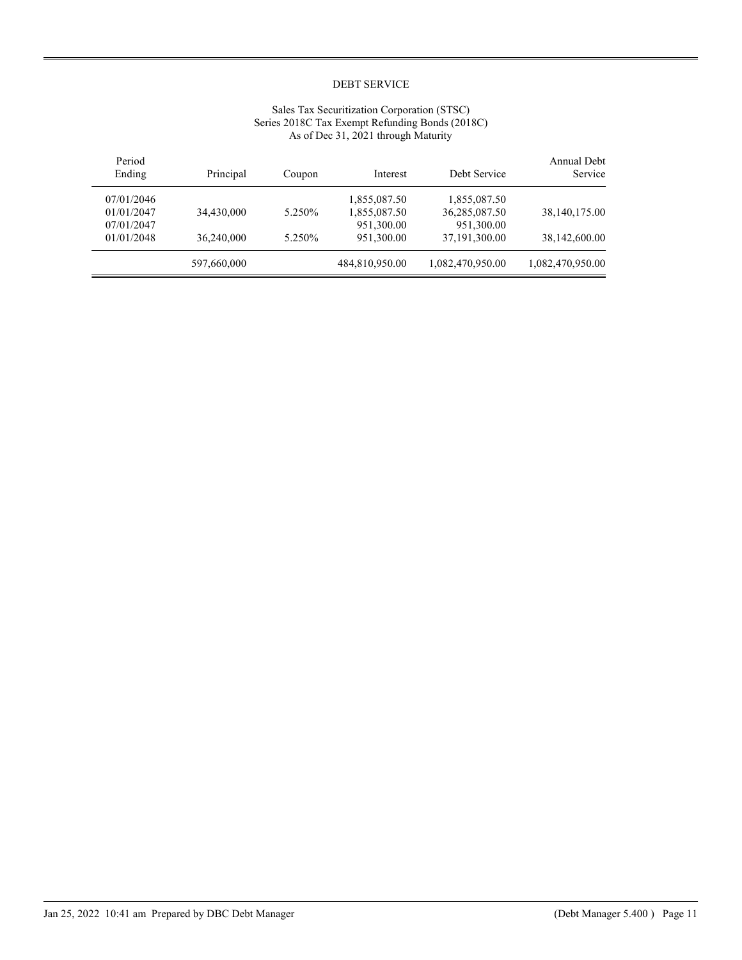# Sales Tax Securitization Corporation (STSC) Series 2018C Tax Exempt Refunding Bonds (2018C) As of Dec 31, 2021 through Maturity

| Period<br>Ending | Principal   | Coupon  | Interest       | Debt Service     | Annual Debt<br>Service |
|------------------|-------------|---------|----------------|------------------|------------------------|
| 07/01/2046       |             |         | 1,855,087.50   | 1,855,087.50     |                        |
| 01/01/2047       | 34,430,000  | 5.250%  | 1,855,087.50   | 36,285,087.50    | 38,140,175.00          |
| 07/01/2047       |             |         | 951,300.00     | 951,300.00       |                        |
| 01/01/2048       | 36,240,000  | 5.250\% | 951,300.00     | 37, 191, 300.00  | 38,142,600.00          |
|                  | 597,660,000 |         | 484,810,950.00 | 1,082,470,950.00 | 1,082,470,950.00       |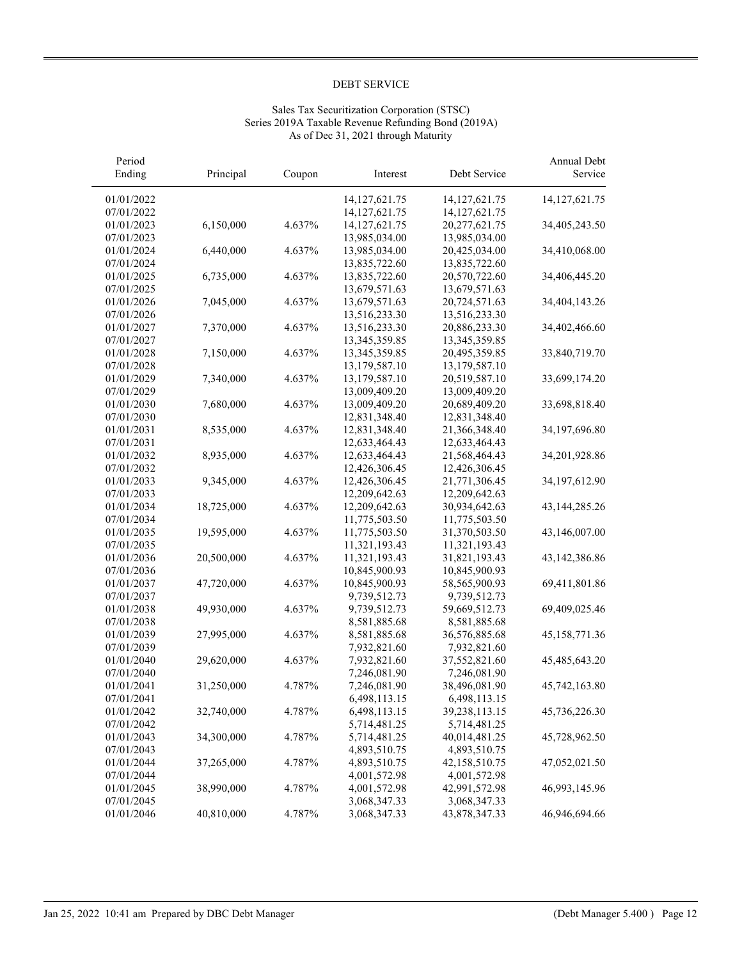# Sales Tax Securitization Corporation (STSC) Series 2019A Taxable Revenue Refunding Bond (2019A) As of Dec 31, 2021 through Maturity

| Period<br>Ending         | Principal  | Coupon | Interest                     | Debt Service                  | Annual Debt<br>Service |
|--------------------------|------------|--------|------------------------------|-------------------------------|------------------------|
| 01/01/2022               |            |        | 14, 127, 621. 75             | 14,127,621.75                 | 14, 127, 621. 75       |
| 07/01/2022               |            |        | 14, 127, 621. 75             | 14, 127, 621. 75              |                        |
| 01/01/2023               | 6,150,000  | 4.637% | 14, 127, 621. 75             | 20,277,621.75                 | 34,405,243.50          |
| 07/01/2023               |            |        | 13,985,034.00                | 13,985,034.00                 |                        |
| 01/01/2024               | 6,440,000  | 4.637% | 13,985,034.00                | 20,425,034.00                 | 34,410,068.00          |
| 07/01/2024               |            |        | 13,835,722.60                | 13,835,722.60                 |                        |
| 01/01/2025               | 6,735,000  | 4.637% | 13,835,722.60                | 20,570,722.60                 | 34,406,445.20          |
| 07/01/2025               |            |        | 13,679,571.63                | 13,679,571.63                 |                        |
| 01/01/2026               | 7,045,000  | 4.637% | 13,679,571.63                | 20,724,571.63                 | 34,404,143.26          |
| 07/01/2026               |            |        | 13,516,233.30                | 13,516,233.30                 |                        |
| 01/01/2027               | 7,370,000  | 4.637% | 13,516,233.30                | 20,886,233.30                 | 34,402,466.60          |
| 07/01/2027               |            |        | 13,345,359.85                | 13,345,359.85                 |                        |
| 01/01/2028               | 7,150,000  | 4.637% | 13,345,359.85                | 20,495,359.85                 | 33,840,719.70          |
| 07/01/2028               |            |        | 13,179,587.10                | 13,179,587.10                 |                        |
| 01/01/2029               | 7,340,000  | 4.637% | 13,179,587.10                | 20,519,587.10                 | 33,699,174.20          |
| 07/01/2029               |            |        | 13,009,409.20                | 13,009,409.20                 |                        |
| 01/01/2030               | 7,680,000  | 4.637% | 13,009,409.20                | 20,689,409.20                 | 33,698,818.40          |
| 07/01/2030               |            |        | 12,831,348.40                | 12,831,348.40                 |                        |
| 01/01/2031               | 8,535,000  | 4.637% | 12,831,348.40                | 21,366,348.40                 | 34,197,696.80          |
| 07/01/2031               |            |        | 12,633,464.43                | 12,633,464.43                 |                        |
| 01/01/2032               | 8,935,000  | 4.637% | 12,633,464.43                | 21,568,464.43                 | 34,201,928.86          |
| 07/01/2032               |            |        | 12,426,306.45                | 12,426,306.45                 |                        |
| 01/01/2033               | 9,345,000  | 4.637% | 12,426,306.45                | 21,771,306.45                 | 34,197,612.90          |
| 07/01/2033               |            |        | 12,209,642.63                | 12,209,642.63                 |                        |
| 01/01/2034               | 18,725,000 | 4.637% | 12,209,642.63                | 30,934,642.63                 | 43,144,285.26          |
| 07/01/2034               |            |        | 11,775,503.50                | 11,775,503.50                 |                        |
| 01/01/2035               | 19,595,000 | 4.637% | 11,775,503.50                | 31,370,503.50                 | 43,146,007.00          |
| 07/01/2035               |            |        | 11,321,193.43                | 11,321,193.43                 |                        |
| 01/01/2036               | 20,500,000 | 4.637% | 11,321,193.43                | 31,821,193.43                 | 43,142,386.86          |
| 07/01/2036               |            |        | 10,845,900.93                | 10,845,900.93                 |                        |
| 01/01/2037               | 47,720,000 | 4.637% | 10,845,900.93                | 58,565,900.93                 | 69,411,801.86          |
| 07/01/2037               |            |        | 9,739,512.73                 | 9,739,512.73                  |                        |
| 01/01/2038               | 49,930,000 | 4.637% | 9,739,512.73                 | 59,669,512.73                 | 69,409,025.46          |
| 07/01/2038               |            |        | 8,581,885.68                 | 8,581,885.68                  |                        |
| 01/01/2039               | 27,995,000 | 4.637% | 8,581,885.68                 | 36,576,885.68                 | 45,158,771.36          |
| 07/01/2039               |            |        | 7,932,821.60                 | 7,932,821.60                  |                        |
| 01/01/2040               | 29,620,000 | 4.637% | 7,932,821.60                 | 37,552,821.60                 | 45,485,643.20          |
| 07/01/2040               |            |        | 7,246,081.90                 | 7,246,081.90                  |                        |
| 01/01/2041               | 31,250,000 | 4.787% | 7,246,081.90                 | 38,496,081.90                 | 45,742,163.80          |
| 07/01/2041               |            |        | 6,498,113.15                 | 6,498,113.15                  |                        |
| 01/01/2042               | 32,740,000 | 4.787% | 6,498,113.15                 | 39,238,113.15                 | 45,736,226.30          |
| 07/01/2042               |            |        | 5,714,481.25                 | 5,714,481.25                  |                        |
| 01/01/2043               | 34,300,000 | 4.787% | 5,714,481.25                 | 40,014,481.25                 | 45,728,962.50          |
| 07/01/2043<br>01/01/2044 |            |        | 4,893,510.75                 | 4,893,510.75                  |                        |
| 07/01/2044               | 37,265,000 | 4.787% | 4,893,510.75                 | 42,158,510.75                 | 47,052,021.50          |
| 01/01/2045               | 38,990,000 | 4.787% | 4,001,572.98<br>4,001,572.98 | 4,001,572.98<br>42,991,572.98 | 46,993,145.96          |
| 07/01/2045               |            |        | 3,068,347.33                 | 3,068,347.33                  |                        |
| 01/01/2046               | 40,810,000 | 4.787% | 3,068,347.33                 | 43,878,347.33                 | 46,946,694.66          |
|                          |            |        |                              |                               |                        |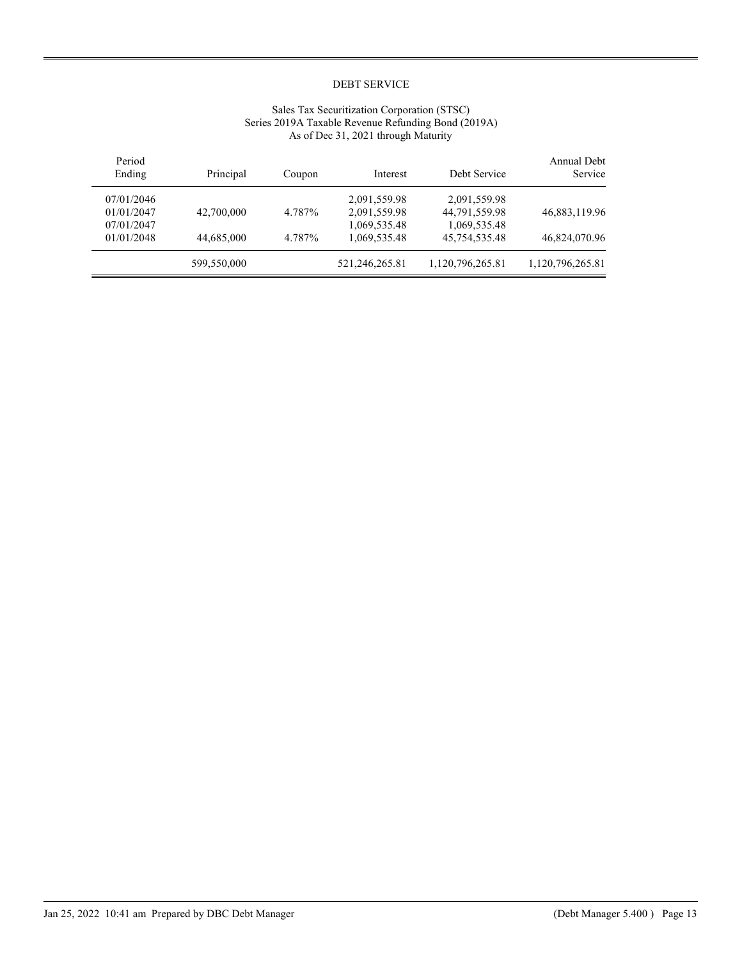## Sales Tax Securitization Corporation (STSC) Series 2019A Taxable Revenue Refunding Bond (2019A) As of Dec 31, 2021 through Maturity

| Annual Debt<br>Service | Debt Service     | Interest       | Coupon | Principal   | Period<br>Ending |
|------------------------|------------------|----------------|--------|-------------|------------------|
|                        | 2,091,559.98     | 2,091,559.98   |        |             | 07/01/2046       |
| 46,883,119.96          | 44,791,559.98    | 2,091,559.98   | 4.787% | 42,700,000  | 01/01/2047       |
|                        | 1,069,535.48     | 1,069,535.48   |        |             | 07/01/2047       |
| 46,824,070.96          | 45,754,535.48    | 1.069.535.48   | 4.787% | 44,685,000  | 01/01/2048       |
| 1,120,796,265.81       | 1,120,796,265.81 | 521,246,265.81 |        | 599,550,000 |                  |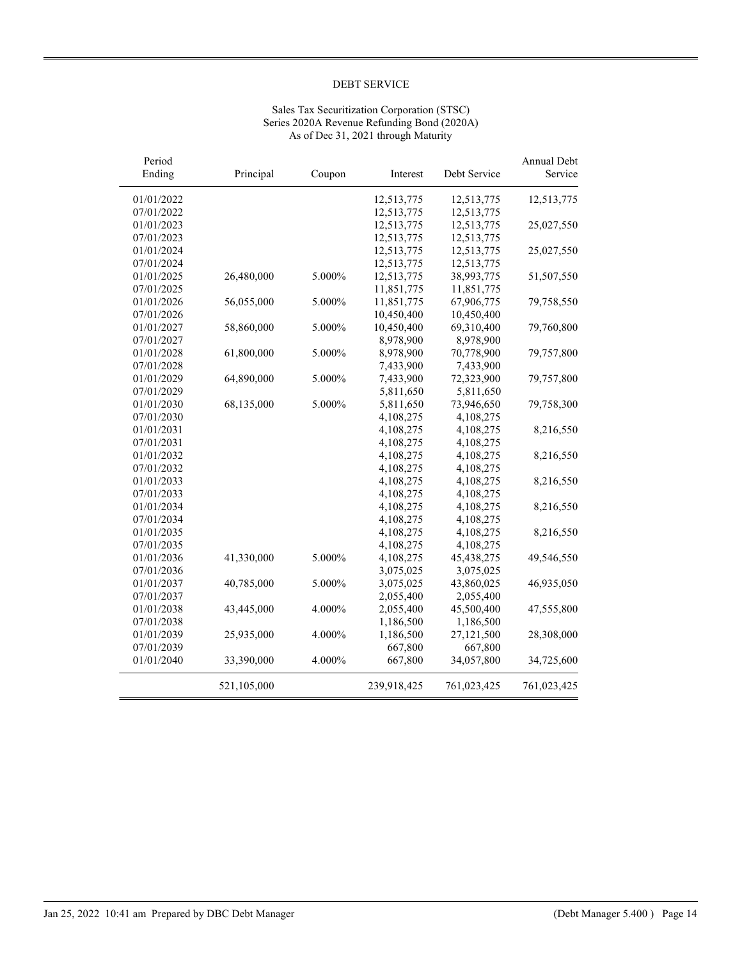## Sales Tax Securitization Corporation (STSC) Series 2020A Revenue Refunding Bond (2020A) As of Dec 31, 2021 through Maturity

| Period<br>Ending | Principal   | Coupon | Interest    | Debt Service | Annual Debt<br>Service |
|------------------|-------------|--------|-------------|--------------|------------------------|
|                  |             |        |             |              |                        |
| 01/01/2022       |             |        | 12,513,775  | 12,513,775   | 12,513,775             |
| 07/01/2022       |             |        | 12,513,775  | 12,513,775   |                        |
| 01/01/2023       |             |        | 12,513,775  | 12,513,775   | 25,027,550             |
| 07/01/2023       |             |        | 12,513,775  | 12,513,775   |                        |
| 01/01/2024       |             |        | 12,513,775  | 12,513,775   | 25,027,550             |
| 07/01/2024       |             |        | 12,513,775  | 12,513,775   |                        |
| 01/01/2025       | 26,480,000  | 5.000% | 12,513,775  | 38,993,775   | 51,507,550             |
| 07/01/2025       |             |        | 11,851,775  | 11,851,775   |                        |
| 01/01/2026       | 56,055,000  | 5.000% | 11,851,775  | 67,906,775   | 79,758,550             |
| 07/01/2026       |             |        | 10,450,400  | 10,450,400   |                        |
| 01/01/2027       | 58,860,000  | 5.000% | 10,450,400  | 69,310,400   | 79,760,800             |
| 07/01/2027       |             |        | 8,978,900   | 8,978,900    |                        |
| 01/01/2028       | 61,800,000  | 5.000% | 8,978,900   | 70,778,900   | 79,757,800             |
| 07/01/2028       |             |        | 7,433,900   | 7,433,900    |                        |
| 01/01/2029       | 64,890,000  | 5.000% | 7,433,900   | 72,323,900   | 79,757,800             |
| 07/01/2029       |             |        | 5,811,650   | 5,811,650    |                        |
| 01/01/2030       | 68,135,000  | 5.000% | 5,811,650   | 73,946,650   | 79,758,300             |
| 07/01/2030       |             |        | 4,108,275   | 4,108,275    |                        |
| 01/01/2031       |             |        | 4,108,275   | 4,108,275    | 8,216,550              |
| 07/01/2031       |             |        | 4,108,275   | 4,108,275    |                        |
| 01/01/2032       |             |        | 4,108,275   | 4,108,275    | 8,216,550              |
| 07/01/2032       |             |        | 4,108,275   | 4,108,275    |                        |
| 01/01/2033       |             |        | 4,108,275   | 4,108,275    | 8,216,550              |
| 07/01/2033       |             |        | 4,108,275   | 4,108,275    |                        |
| 01/01/2034       |             |        | 4,108,275   | 4,108,275    | 8,216,550              |
| 07/01/2034       |             |        | 4,108,275   | 4,108,275    |                        |
| 01/01/2035       |             |        | 4,108,275   | 4,108,275    | 8,216,550              |
| 07/01/2035       |             |        | 4,108,275   | 4,108,275    |                        |
| 01/01/2036       | 41,330,000  | 5.000% | 4,108,275   | 45,438,275   | 49,546,550             |
| 07/01/2036       |             |        | 3,075,025   | 3,075,025    |                        |
| 01/01/2037       | 40,785,000  | 5.000% | 3,075,025   | 43,860,025   | 46,935,050             |
| 07/01/2037       |             |        | 2,055,400   | 2,055,400    |                        |
| 01/01/2038       | 43,445,000  | 4.000% | 2,055,400   | 45,500,400   | 47,555,800             |
| 07/01/2038       |             |        | 1,186,500   | 1,186,500    |                        |
| 01/01/2039       | 25,935,000  | 4.000% | 1,186,500   | 27,121,500   | 28,308,000             |
| 07/01/2039       |             |        | 667,800     | 667,800      |                        |
| 01/01/2040       | 33,390,000  | 4.000% | 667,800     | 34,057,800   | 34,725,600             |
|                  |             |        |             |              |                        |
|                  | 521,105,000 |        | 239,918,425 | 761,023,425  | 761,023,425            |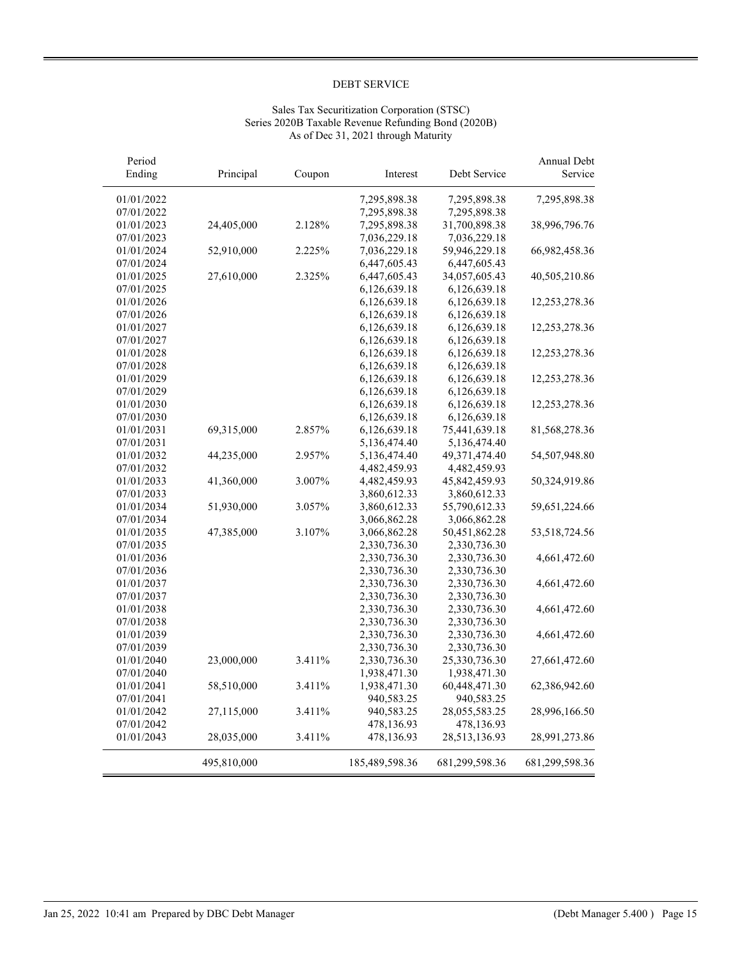## Sales Tax Securitization Corporation (STSC) Series 2020B Taxable Revenue Refunding Bond (2020B) As of Dec 31, 2021 through Maturity

| Period                   |             |        |                              |                               | Annual Debt    |
|--------------------------|-------------|--------|------------------------------|-------------------------------|----------------|
| Ending                   | Principal   | Coupon | Interest                     | Debt Service                  | Service        |
| 01/01/2022               |             |        | 7,295,898.38                 | 7,295,898.38                  | 7,295,898.38   |
| 07/01/2022               |             |        | 7,295,898.38                 | 7,295,898.38                  |                |
| 01/01/2023               | 24,405,000  | 2.128% | 7,295,898.38                 | 31,700,898.38                 | 38,996,796.76  |
| 07/01/2023               |             |        | 7,036,229.18                 | 7,036,229.18                  |                |
| 01/01/2024               | 52,910,000  | 2.225% | 7,036,229.18                 | 59,946,229.18                 | 66,982,458.36  |
| 07/01/2024               |             |        | 6,447,605.43                 | 6,447,605.43                  |                |
| 01/01/2025               | 27,610,000  | 2.325% | 6,447,605.43                 | 34,057,605.43                 | 40,505,210.86  |
| 07/01/2025               |             |        | 6,126,639.18                 | 6,126,639.18                  |                |
| 01/01/2026               |             |        | 6,126,639.18                 | 6,126,639.18                  | 12,253,278.36  |
| 07/01/2026               |             |        | 6,126,639.18                 | 6,126,639.18                  |                |
| 01/01/2027               |             |        | 6,126,639.18                 | 6,126,639.18                  | 12,253,278.36  |
| 07/01/2027               |             |        | 6,126,639.18                 | 6,126,639.18                  |                |
| 01/01/2028               |             |        | 6,126,639.18                 | 6,126,639.18                  | 12,253,278.36  |
| 07/01/2028               |             |        | 6,126,639.18                 | 6,126,639.18                  |                |
| 01/01/2029               |             |        | 6,126,639.18                 | 6,126,639.18                  | 12,253,278.36  |
| 07/01/2029               |             |        | 6,126,639.18                 | 6,126,639.18                  |                |
| 01/01/2030               |             |        | 6,126,639.18                 | 6,126,639.18                  | 12,253,278.36  |
| 07/01/2030               |             |        | 6,126,639.18                 | 6,126,639.18                  |                |
| 01/01/2031               | 69,315,000  | 2.857% | 6,126,639.18                 | 75,441,639.18                 | 81,568,278.36  |
| 07/01/2031               |             |        | 5,136,474.40                 | 5,136,474.40                  |                |
| 01/01/2032               | 44,235,000  | 2.957% | 5,136,474.40                 | 49,371,474.40                 | 54,507,948.80  |
| 07/01/2032               |             |        | 4,482,459.93                 | 4,482,459.93                  |                |
| 01/01/2033               | 41,360,000  | 3.007% | 4,482,459.93                 | 45,842,459.93                 | 50,324,919.86  |
| 07/01/2033               |             |        | 3,860,612.33                 | 3,860,612.33                  |                |
| 01/01/2034               | 51,930,000  | 3.057% | 3,860,612.33                 | 55,790,612.33                 | 59,651,224.66  |
| 07/01/2034               |             |        | 3,066,862.28                 | 3,066,862.28                  |                |
| 01/01/2035               | 47,385,000  | 3.107% | 3,066,862.28                 | 50,451,862.28                 | 53,518,724.56  |
| 07/01/2035               |             |        | 2,330,736.30                 | 2,330,736.30                  |                |
| 01/01/2036               |             |        | 2,330,736.30                 | 2,330,736.30                  | 4,661,472.60   |
| 07/01/2036               |             |        | 2,330,736.30                 | 2,330,736.30                  |                |
| 01/01/2037               |             |        | 2,330,736.30                 | 2,330,736.30                  | 4,661,472.60   |
| 07/01/2037               |             |        | 2,330,736.30                 | 2,330,736.30                  |                |
| 01/01/2038               |             |        | 2,330,736.30                 | 2,330,736.30                  | 4,661,472.60   |
| 07/01/2038               |             |        | 2,330,736.30                 | 2,330,736.30                  |                |
| 01/01/2039               |             |        | 2,330,736.30                 | 2,330,736.30                  | 4,661,472.60   |
| 07/01/2039               | 23,000,000  |        | 2,330,736.30                 | 2,330,736.30                  |                |
| 01/01/2040<br>07/01/2040 |             | 3.411% | 2,330,736.30                 | 25,330,736.30<br>1,938,471.30 | 27,661,472.60  |
| 01/01/2041               | 58,510,000  | 3.411% | 1,938,471.30<br>1,938,471.30 | 60,448,471.30                 | 62,386,942.60  |
| 07/01/2041               |             |        | 940,583.25                   | 940,583.25                    |                |
| 01/01/2042               | 27,115,000  | 3.411% | 940,583.25                   | 28,055,583.25                 | 28,996,166.50  |
| 07/01/2042               |             |        | 478,136.93                   | 478,136.93                    |                |
| 01/01/2043               | 28,035,000  | 3.411% | 478,136.93                   | 28,513,136.93                 | 28,991,273.86  |
|                          | 495,810,000 |        | 185,489,598.36               | 681,299,598.36                | 681,299,598.36 |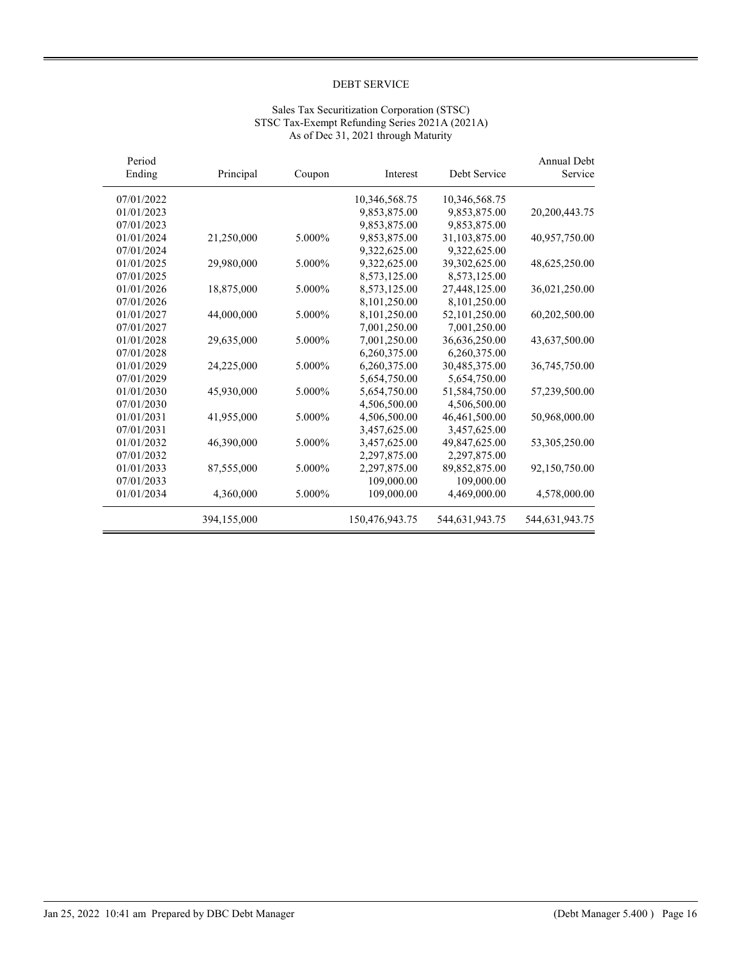## Sales Tax Securitization Corporation (STSC) STSC Tax-Exempt Refunding Series 2021A (2021A) As of Dec 31, 2021 through Maturity

| Period<br>Ending | Principal   | Coupon | Interest       | Debt Service   | <b>Annual Debt</b><br>Service |
|------------------|-------------|--------|----------------|----------------|-------------------------------|
| 07/01/2022       |             |        | 10,346,568.75  | 10,346,568.75  |                               |
| 01/01/2023       |             |        | 9,853,875.00   | 9,853,875.00   | 20,200,443.75                 |
| 07/01/2023       |             |        | 9.853.875.00   | 9,853,875.00   |                               |
| 01/01/2024       | 21,250,000  | 5.000% | 9,853,875.00   | 31,103,875.00  | 40,957,750.00                 |
| 07/01/2024       |             |        | 9,322,625.00   | 9,322,625.00   |                               |
| 01/01/2025       | 29,980,000  | 5.000% | 9,322,625.00   | 39,302,625.00  | 48,625,250.00                 |
| 07/01/2025       |             |        | 8,573,125.00   | 8,573,125.00   |                               |
| 01/01/2026       | 18,875,000  | 5.000% | 8,573,125.00   | 27,448,125.00  | 36,021,250.00                 |
| 07/01/2026       |             |        | 8,101,250.00   | 8,101,250.00   |                               |
| 01/01/2027       | 44,000,000  | 5.000% | 8,101,250.00   | 52,101,250.00  | 60,202,500.00                 |
| 07/01/2027       |             |        | 7,001,250.00   | 7,001,250.00   |                               |
| 01/01/2028       | 29,635,000  | 5.000% | 7,001,250.00   | 36,636,250.00  | 43,637,500.00                 |
| 07/01/2028       |             |        | 6,260,375.00   | 6,260,375.00   |                               |
| 01/01/2029       | 24,225,000  | 5.000% | 6,260,375.00   | 30,485,375.00  | 36,745,750.00                 |
| 07/01/2029       |             |        | 5,654,750.00   | 5,654,750.00   |                               |
| 01/01/2030       | 45,930,000  | 5.000% | 5,654,750.00   | 51,584,750.00  | 57,239,500.00                 |
| 07/01/2030       |             |        | 4,506,500.00   | 4,506,500.00   |                               |
| 01/01/2031       | 41,955,000  | 5.000% | 4,506,500.00   | 46,461,500.00  | 50,968,000.00                 |
| 07/01/2031       |             |        | 3,457,625.00   | 3,457,625.00   |                               |
| 01/01/2032       | 46,390,000  | 5.000% | 3,457,625.00   | 49,847,625.00  | 53,305,250.00                 |
| 07/01/2032       |             |        | 2,297,875.00   | 2,297,875.00   |                               |
| 01/01/2033       | 87,555,000  | 5.000% | 2,297,875.00   | 89,852,875.00  | 92,150,750.00                 |
| 07/01/2033       |             |        | 109,000.00     | 109,000.00     |                               |
| 01/01/2034       | 4,360,000   | 5.000% | 109,000.00     | 4,469,000.00   | 4,578,000.00                  |
|                  | 394,155,000 |        | 150,476,943.75 | 544,631,943.75 | 544,631,943.75                |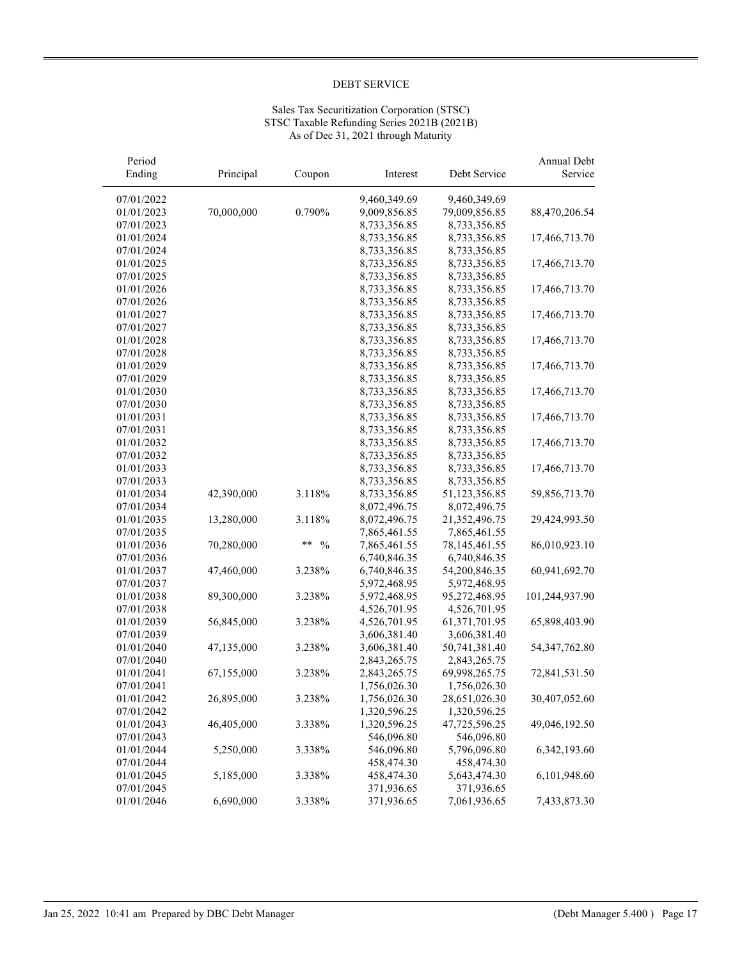## Sales Tax Securitization Corporation (STSC) STSC Taxable Refunding Series 2021B (2021B) As of Dec 31, 2021 through Maturity

| Period     |            |                     |              |               | Annual Debt     |
|------------|------------|---------------------|--------------|---------------|-----------------|
| Ending     | Principal  | Coupon              | Interest     | Debt Service  | Service         |
| 07/01/2022 |            |                     | 9,460,349.69 | 9,460,349.69  |                 |
| 01/01/2023 | 70,000,000 | 0.790%              | 9,009,856.85 | 79,009,856.85 | 88,470,206.54   |
| 07/01/2023 |            |                     | 8,733,356.85 | 8,733,356.85  |                 |
| 01/01/2024 |            |                     | 8,733,356.85 | 8,733,356.85  | 17,466,713.70   |
| 07/01/2024 |            |                     | 8,733,356.85 | 8,733,356.85  |                 |
| 01/01/2025 |            |                     | 8,733,356.85 | 8,733,356.85  | 17,466,713.70   |
| 07/01/2025 |            |                     | 8,733,356.85 | 8,733,356.85  |                 |
| 01/01/2026 |            |                     | 8,733,356.85 | 8,733,356.85  | 17,466,713.70   |
| 07/01/2026 |            |                     | 8,733,356.85 | 8,733,356.85  |                 |
| 01/01/2027 |            |                     | 8,733,356.85 | 8,733,356.85  | 17,466,713.70   |
| 07/01/2027 |            |                     | 8,733,356.85 | 8,733,356.85  |                 |
| 01/01/2028 |            |                     | 8,733,356.85 | 8,733,356.85  | 17,466,713.70   |
| 07/01/2028 |            |                     | 8,733,356.85 | 8,733,356.85  |                 |
| 01/01/2029 |            |                     | 8,733,356.85 | 8,733,356.85  | 17,466,713.70   |
| 07/01/2029 |            |                     | 8,733,356.85 | 8,733,356.85  |                 |
| 01/01/2030 |            |                     | 8,733,356.85 | 8,733,356.85  | 17,466,713.70   |
| 07/01/2030 |            |                     | 8,733,356.85 | 8,733,356.85  |                 |
| 01/01/2031 |            |                     | 8,733,356.85 | 8,733,356.85  | 17,466,713.70   |
| 07/01/2031 |            |                     | 8,733,356.85 | 8,733,356.85  |                 |
| 01/01/2032 |            |                     | 8,733,356.85 | 8,733,356.85  | 17,466,713.70   |
| 07/01/2032 |            |                     | 8,733,356.85 | 8,733,356.85  |                 |
| 01/01/2033 |            |                     | 8,733,356.85 | 8,733,356.85  | 17,466,713.70   |
| 07/01/2033 |            |                     | 8,733,356.85 | 8,733,356.85  |                 |
| 01/01/2034 | 42,390,000 | 3.118%              | 8,733,356.85 | 51,123,356.85 | 59,856,713.70   |
| 07/01/2034 |            |                     | 8,072,496.75 | 8,072,496.75  |                 |
| 01/01/2035 | 13,280,000 | 3.118%              | 8,072,496.75 | 21,352,496.75 | 29,424,993.50   |
| 07/01/2035 |            |                     | 7,865,461.55 | 7,865,461.55  |                 |
| 01/01/2036 | 70,280,000 | **<br>$\frac{0}{0}$ | 7,865,461.55 | 78,145,461.55 | 86,010,923.10   |
| 07/01/2036 |            |                     | 6,740,846.35 | 6,740,846.35  |                 |
| 01/01/2037 | 47,460,000 | 3.238%              | 6,740,846.35 | 54,200,846.35 | 60,941,692.70   |
| 07/01/2037 |            |                     | 5,972,468.95 | 5,972,468.95  |                 |
| 01/01/2038 | 89,300,000 | 3.238%              | 5,972,468.95 | 95,272,468.95 | 101,244,937.90  |
| 07/01/2038 |            |                     | 4,526,701.95 | 4,526,701.95  |                 |
| 01/01/2039 | 56,845,000 | 3.238%              | 4,526,701.95 | 61,371,701.95 | 65,898,403.90   |
| 07/01/2039 |            |                     | 3,606,381.40 | 3,606,381.40  |                 |
| 01/01/2040 | 47,135,000 | 3.238%              | 3,606,381.40 | 50,741,381.40 | 54, 347, 762.80 |
| 07/01/2040 |            |                     | 2,843,265.75 | 2,843,265.75  |                 |
| 01/01/2041 | 67,155,000 | 3.238%              | 2,843,265.75 | 69,998,265.75 | 72,841,531.50   |
| 07/01/2041 |            |                     | 1,756,026.30 | 1,756,026.30  |                 |
| 01/01/2042 | 26,895,000 | 3.238%              | 1,756,026.30 | 28,651,026.30 | 30,407,052.60   |
| 07/01/2042 |            |                     | 1,320,596.25 | 1,320,596.25  |                 |
| 01/01/2043 | 46,405,000 | 3.338%              | 1,320,596.25 | 47,725,596.25 | 49,046,192.50   |
| 07/01/2043 |            |                     | 546,096.80   | 546,096.80    |                 |
| 01/01/2044 | 5,250,000  | 3.338%              | 546,096.80   | 5,796,096.80  | 6,342,193.60    |
| 07/01/2044 |            |                     | 458,474.30   | 458,474.30    |                 |
| 01/01/2045 | 5,185,000  | 3.338%              | 458,474.30   | 5,643,474.30  | 6,101,948.60    |
| 07/01/2045 |            |                     | 371,936.65   | 371,936.65    |                 |
| 01/01/2046 | 6,690,000  | 3.338%              | 371,936.65   | 7,061,936.65  | 7,433,873.30    |